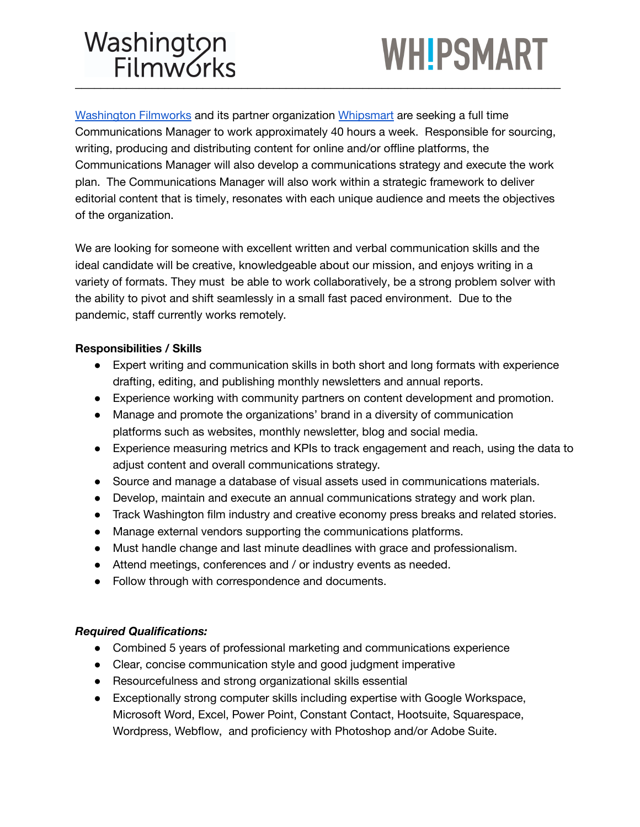### Washington<br>Filmworks \_\_\_\_\_\_\_\_\_\_\_\_\_\_\_\_\_\_\_\_\_\_\_\_\_\_\_\_\_\_\_\_\_\_\_\_\_\_\_\_\_\_\_\_\_\_\_\_\_\_\_\_\_\_\_\_\_\_\_\_\_\_\_\_\_\_\_\_\_\_\_\_\_\_\_\_

## **WH!PSMART**

[Washington](https://www.washingtonfilmworks.org/) Filmworks and its partner organization [Whipsmart](http://www.bewhipsmart.org) are seeking a full time Communications Manager to work approximately 40 hours a week. Responsible for sourcing, writing, producing and distributing content for online and/or offline platforms, the Communications Manager will also develop a communications strategy and execute the work plan. The Communications Manager will also work within a strategic framework to deliver editorial content that is timely, resonates with each unique audience and meets the objectives of the organization.

We are looking for someone with excellent written and verbal communication skills and the ideal candidate will be creative, knowledgeable about our mission, and enjoys writing in a variety of formats. They must be able to work collaboratively, be a strong problem solver with the ability to pivot and shift seamlessly in a small fast paced environment. Due to the pandemic, staff currently works remotely.

### **Responsibilities / Skills**

- Expert writing and communication skills in both short and long formats with experience drafting, editing, and publishing monthly newsletters and annual reports.
- Experience working with community partners on content development and promotion.
- Manage and promote the organizations' brand in a diversity of communication platforms such as websites, monthly newsletter, blog and social media.
- Experience measuring metrics and KPIs to track engagement and reach, using the data to adjust content and overall communications strategy.
- Source and manage a database of visual assets used in communications materials.
- Develop, maintain and execute an annual communications strategy and work plan.
- Track Washington film industry and creative economy press breaks and related stories.
- Manage external vendors supporting the communications platforms.
- Must handle change and last minute deadlines with grace and professionalism.
- Attend meetings, conferences and / or industry events as needed.
- Follow through with correspondence and documents.

### *Required Qualifications:*

- Combined 5 years of professional marketing and communications experience
- Clear, concise communication style and good judgment imperative
- Resourcefulness and strong organizational skills essential
- Exceptionally strong computer skills including expertise with Google Workspace, Microsoft Word, Excel, Power Point, Constant Contact, Hootsuite, Squarespace, Wordpress, Webflow, and proficiency with Photoshop and/or Adobe Suite.